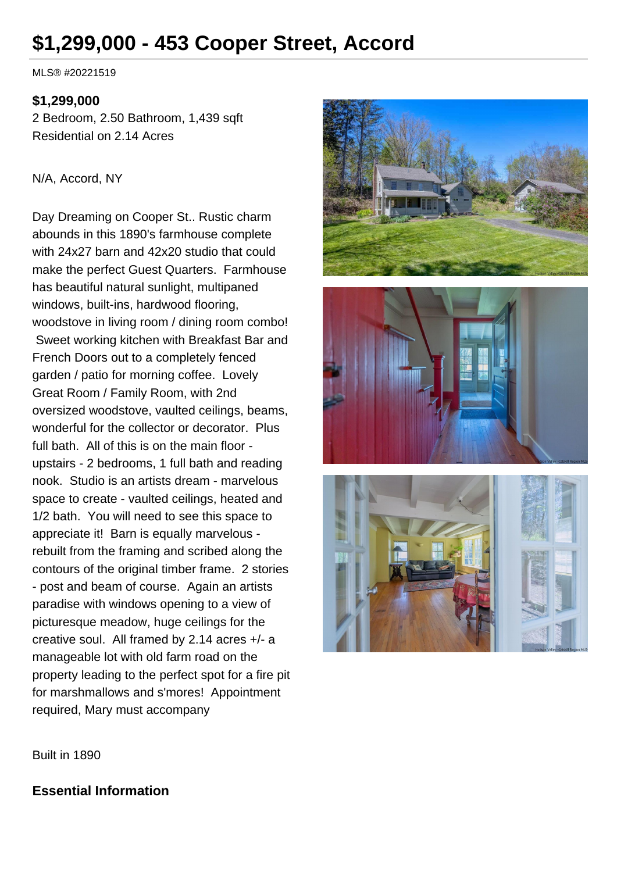# **\$1,299,000 - 453 Cooper Street, Accord**

MLS® #20221519

#### **\$1,299,000**

2 Bedroom, 2.50 Bathroom, 1,439 sqft Residential on 2.14 Acres

#### N/A, Accord, NY

Day Dreaming on Cooper St.. Rustic charm abounds in this 1890's farmhouse complete with 24x27 barn and 42x20 studio that could make the perfect Guest Quarters. Farmhouse has beautiful natural sunlight, multipaned windows, built-ins, hardwood flooring, woodstove in living room / dining room combo! Sweet working kitchen with Breakfast Bar and French Doors out to a completely fenced garden / patio for morning coffee. Lovely Great Room / Family Room, with 2nd oversized woodstove, vaulted ceilings, beams, wonderful for the collector or decorator. Plus full bath. All of this is on the main floor upstairs - 2 bedrooms, 1 full bath and reading nook. Studio is an artists dream - marvelous space to create - vaulted ceilings, heated and 1/2 bath. You will need to see this space to appreciate it! Barn is equally marvelous rebuilt from the framing and scribed along the contours of the original timber frame. 2 stories - post and beam of course. Again an artists paradise with windows opening to a view of picturesque meadow, huge ceilings for the creative soul. All framed by 2.14 acres +/- a manageable lot with old farm road on the property leading to the perfect spot for a fire pit for marshmallows and s'mores! Appointment required, Mary must accompany







Built in 1890

## **Essential Information**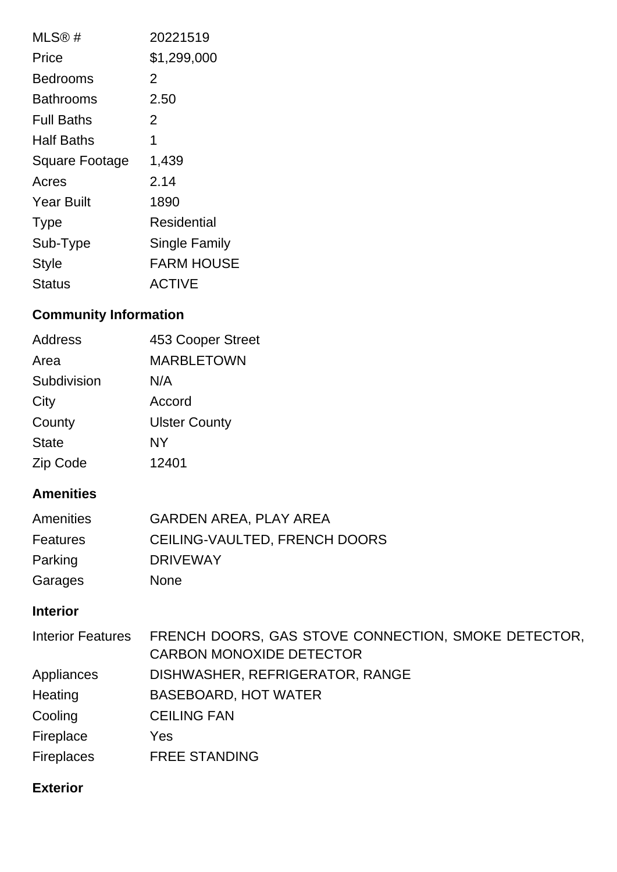| MLS@#                 | 20221519             |
|-----------------------|----------------------|
| Price                 | \$1,299,000          |
| Bedrooms              | 2                    |
| Bathrooms             | 2.50                 |
| <b>Full Baths</b>     | 2                    |
| Half Baths            | 1                    |
| <b>Square Footage</b> | 1,439                |
| Acres                 | 2.14                 |
| <b>Year Built</b>     | 1890                 |
| <b>Type</b>           | Residential          |
| Sub-Type              | <b>Single Family</b> |
| <b>Style</b>          | <b>FARM HOUSE</b>    |
| Status                | <b>ACTIVE</b>        |

# **Community Information**

| Address      | 453 Cooper Street    |
|--------------|----------------------|
| Area         | <b>MARBLETOWN</b>    |
| Subdivision  | N/A                  |
| City         | Accord               |
| County       | <b>Ulster County</b> |
| <b>State</b> | NY                   |
| Zip Code     | 12401                |

# **Amenities**

| Amenities       | <b>GARDEN AREA, PLAY AREA</b> |
|-----------------|-------------------------------|
| <b>Features</b> | CEILING-VAULTED, FRENCH DOORS |
| Parking         | <b>DRIVEWAY</b>               |
| Garages         | <b>None</b>                   |

# **Interior**

| <b>Interior Features</b> | FRENCH DOORS, GAS STOVE CONNECTION, SMOKE DETECTOR, |
|--------------------------|-----------------------------------------------------|
|                          | <b>CARBON MONOXIDE DETECTOR</b>                     |
| Appliances               | DISHWASHER, REFRIGERATOR, RANGE                     |
| Heating                  | <b>BASEBOARD, HOT WATER</b>                         |
| Cooling                  | <b>CEILING FAN</b>                                  |
| Fireplace                | Yes                                                 |
| <b>Fireplaces</b>        | <b>FREE STANDING</b>                                |

# **Exterior**